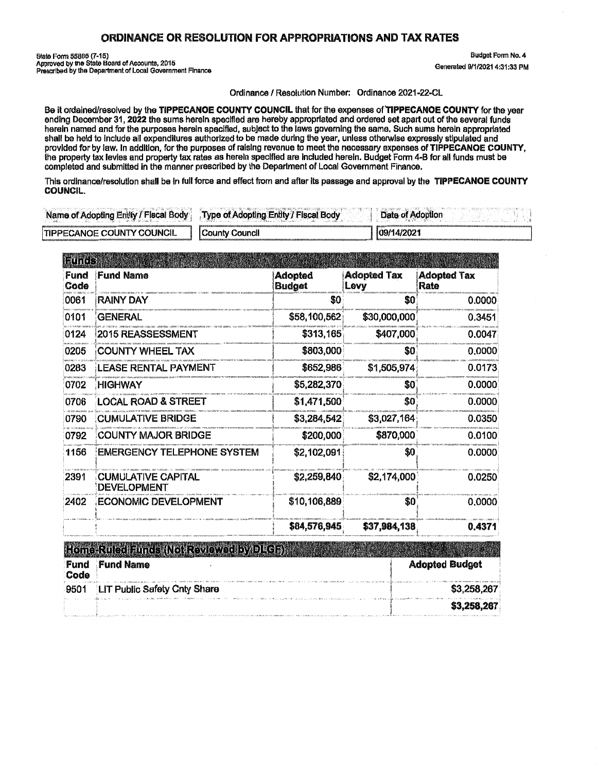## ORDINANCE OR RESOLUTION FOR APPROPRIATIONS AND TAX RATES

State Form 55865 (7-15)<br>Approved by the State Board of Accounts, 2015<br>Prescribed by the Department of Local Government Finance

Budget Form No. 4 Generated 9/1/2021 4:31:33 PM

Ordinance / Resolution Number: Ordinance 2021-22-CL

Be it ordained/resolved by the TIPPECANOE COUNTY COUNCIL that for the expenses of TIPPECANOE COUNTY for the vear ending December 31, 2022 the sums herein specified are hereby appropriated and ordered set apart out of the several funds herein named and for the purposes herein specified, subject to the laws governing the same. Such sums herein appropriated shall be held to include all expenditures authorized to be made during the year, unless otherwise expressly stipulated and provided for by law. In addition, for the purposes of raising revenue to meet the necessary expenses of TIPPECANOE COUNTY, the property tax levies and property tax rates as herein specified are included herein. Budget Form 4-B for all funds must be completed and submitted in the manner prescribed by the Department of Local Government Finance.

This ordinance/resolution shall be in full force and effect from and after its passage and approval by the TIPPECANOE COUNTY COUNCIL.

| Name of Adopting Entity / Fiscal Body | Type of Adopting Entity / Fiscal Body | ontior      |
|---------------------------------------|---------------------------------------|-------------|
| <b>TIPPECANOE COUNTY COUNCIL</b>      | <b>ICounty Council</b>                | 109/14/2021 |

| Funce<br>Fund | <b>Fund Name</b>                                |                          |                            |                            |
|---------------|-------------------------------------------------|--------------------------|----------------------------|----------------------------|
| Code          |                                                 | Adopted<br><b>Budget</b> | <b>Adopted Tax</b><br>Levy | <b>Adopted Tax</b><br>Rate |
| 0061          | <b>RAINY DAY</b>                                | \$0                      | \$0                        | 0.0000                     |
| 0101          | <b>GENERAL</b>                                  | \$58,100,562             | \$30,000,000               | 0.3451                     |
| 0124          | 2015 REASSESSMENT                               | \$313,165                | \$407,000                  | 0.0047                     |
| 0205          | <b>COUNTY WHEEL TAX</b>                         | \$803,000                | \$0                        | 0.0000                     |
| 0283          | LEASE RENTAL PAYMENT                            | \$652,986                | \$1,505,974                | 0.0173                     |
| 0702          | <b>HIGHWAY</b>                                  | \$5,282,370              | \$0                        | 0.0000                     |
| 0706          | <b>LOCAL ROAD &amp; STREET</b>                  | \$1,471,500              | \$0                        | 0.0000                     |
| 0790          | <b>CUMULATIVE BRIDGE</b>                        | \$3,284,542              | \$3,027,164                | 0.0350                     |
| 0792          | <b>COUNTY MAJOR BRIDGE</b>                      | \$200,000                | \$870,000                  | 0.0100                     |
| 1156          | <b>EMERGENCY TELEPHONE SYSTEM</b>               | \$2,102,091              | \$0                        | 0.0000                     |
| 2391          | <b>CUMULATIVE CAPITAL</b><br><b>DEVELOPMENT</b> | \$2,259,840              | \$2,174,000                | 0.0250                     |
| 2402          | <b>ECONOMIC DEVELOPMENT</b>                     | \$10,106,889             | \$0                        | 0.0000                     |
|               |                                                 | \$84,576,945             | \$37,984,138               | 0.4371                     |
|               | Home Ruled Functs (NotReviewed by DKCF)         |                          |                            |                            |
| Fund<br>Code  | <b>Fund Name</b><br><b>Adopted Budget</b>       |                          |                            |                            |
| 9501          | LIT Public Safety Cnty Share                    |                          |                            | \$3,258,267                |
|               |                                                 |                          |                            | \$3,258,267                |